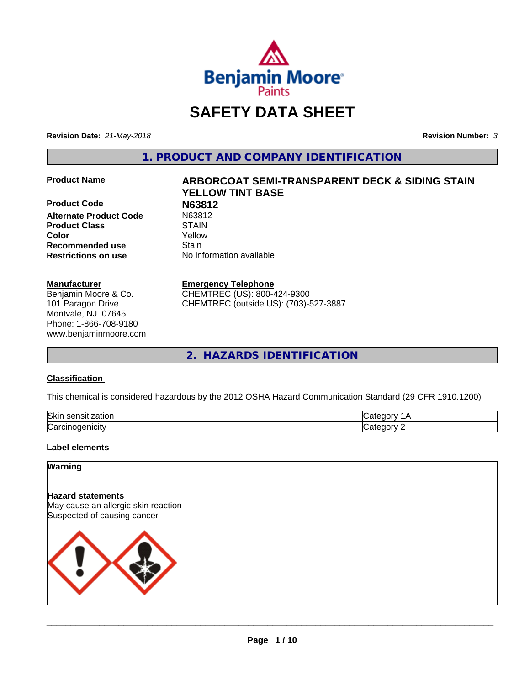

# **SAFETY DATA SHEET**

**Revision Date:** *21-May-2018* **Revision Number:** *3*

**1. PRODUCT AND COMPANY IDENTIFICATION**

**Product Code N63812**<br> **Alternate Product Code N63812 Alternate Product Code** N6381.<br> **Product Class** STAIN **Product Class Recommended use Stain Restrictions on use** No information available

#### **Manufacturer**

Benjamin Moore & Co. 101 Paragon Drive Montvale, NJ 07645 Phone: 1-866-708-9180 www.benjaminmoore.com

# **Product Name ARBORCOAT SEMI-TRANSPARENT DECK & SIDING STAIN YELLOW TINT BASE Color** Yellow

#### **Emergency Telephone**

CHEMTREC (US): 800-424-9300 CHEMTREC (outside US): (703)-527-3887

**2. HAZARDS IDENTIFICATION**

#### **Classification**

This chemical is considered hazardous by the 2012 OSHA Hazard Communication Standard (29 CFR 1910.1200)

| <b>Ski</b><br>uor<br>- 11 |  |
|---------------------------|--|
| ∽<br>. . аг               |  |

#### **Label elements**

### **Warning**

**Hazard statements** May cause an allergic skin reaction Suspected of causing cancer

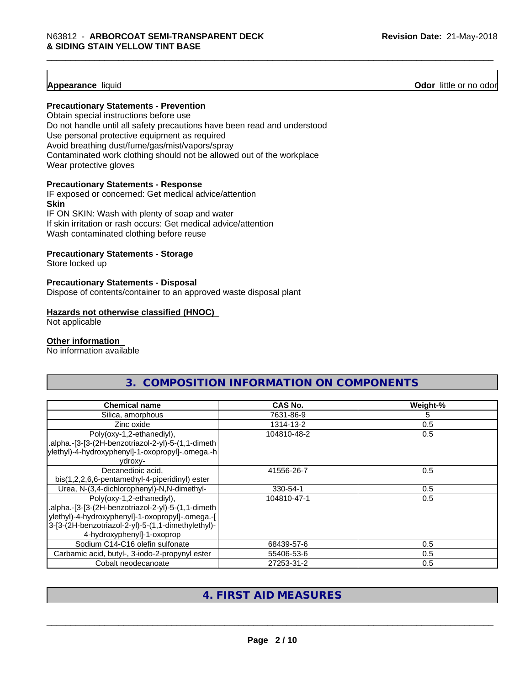**Appearance** liquid **Odor 11** Odor little or no odor

#### **Precautionary Statements - Prevention**

Obtain special instructions before use Do not handle until all safety precautions have been read and understood Use personal protective equipment as required Avoid breathing dust/fume/gas/mist/vapors/spray Contaminated work clothing should not be allowed out of the workplace Wear protective gloves

#### **Precautionary Statements - Response**

IF exposed or concerned: Get medical advice/attention **Skin** IF ON SKIN: Wash with plenty of soap and water

If skin irritation or rash occurs: Get medical advice/attention

Wash contaminated clothing before reuse

#### **Precautionary Statements - Storage**

Store locked up

#### **Precautionary Statements - Disposal**

Dispose of contents/container to an approved waste disposal plant

#### **Hazards not otherwise classified (HNOC)**

Not applicable

#### **Other information**

No information available

| <b>Chemical name</b>                                                                                                                                                                                                    | CAS No.     | Weight-% |
|-------------------------------------------------------------------------------------------------------------------------------------------------------------------------------------------------------------------------|-------------|----------|
| Silica, amorphous                                                                                                                                                                                                       | 7631-86-9   | 5.       |
| Zinc oxide                                                                                                                                                                                                              | 1314-13-2   | 0.5      |
| Poly(oxy-1,2-ethanediyl),<br>.alpha.-[3-[3-(2H-benzotriazol-2-yl)-5-(1,1-dimeth<br> ylethyl)-4-hydroxyphenyl]-1-oxopropyl]-.omega.-h <br>vdroxy-                                                                        | 104810-48-2 | 0.5      |
| Decanedioic acid,<br>bis(1,2,2,6,6-pentamethyl-4-piperidinyl) ester                                                                                                                                                     | 41556-26-7  | 0.5      |
| Urea, N-(3,4-dichlorophenyl)-N,N-dimethyl-                                                                                                                                                                              | 330-54-1    | 0.5      |
| Poly(oxy-1,2-ethanediyl),<br>.alpha.-[3-[3-(2H-benzotriazol-2-yl)-5-(1,1-dimeth<br>ylethyl)-4-hydroxyphenyl]-1-oxopropyl]-.omega.-[<br>3-[3-(2H-benzotriazol-2-yl)-5-(1,1-dimethylethyl)-<br>4-hydroxyphenyl]-1-oxoprop | 104810-47-1 | 0.5      |
| Sodium C14-C16 olefin sulfonate                                                                                                                                                                                         | 68439-57-6  | 0.5      |
| Carbamic acid, butyl-, 3-iodo-2-propynyl ester                                                                                                                                                                          | 55406-53-6  | 0.5      |
| Cobalt neodecanoate                                                                                                                                                                                                     | 27253-31-2  | 0.5      |

**3. COMPOSITION INFORMATION ON COMPONENTS**

# **4. FIRST AID MEASURES**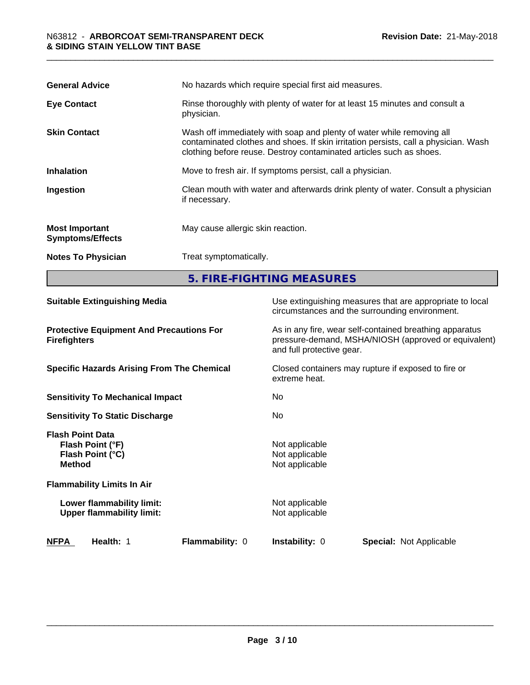| <b>General Advice</b>                            | No hazards which require special first aid measures.                                                                                                                                                                                |  |
|--------------------------------------------------|-------------------------------------------------------------------------------------------------------------------------------------------------------------------------------------------------------------------------------------|--|
| <b>Eye Contact</b>                               | Rinse thoroughly with plenty of water for at least 15 minutes and consult a<br>physician.                                                                                                                                           |  |
| <b>Skin Contact</b>                              | Wash off immediately with soap and plenty of water while removing all<br>contaminated clothes and shoes. If skin irritation persists, call a physician. Wash<br>clothing before reuse. Destroy contaminated articles such as shoes. |  |
| <b>Inhalation</b>                                | Move to fresh air. If symptoms persist, call a physician.                                                                                                                                                                           |  |
| Ingestion                                        | Clean mouth with water and afterwards drink plenty of water. Consult a physician<br>if necessary.                                                                                                                                   |  |
| <b>Most Important</b><br><b>Symptoms/Effects</b> | May cause allergic skin reaction.                                                                                                                                                                                                   |  |
| <b>Notes To Physician</b>                        | Treat symptomatically.                                                                                                                                                                                                              |  |
|                                                  | 5. FIRE-FIGHTING MEASURES                                                                                                                                                                                                           |  |

| <b>Suitable Extinguishing Media</b>                                              | Use extinguishing measures that are appropriate to local<br>circumstances and the surrounding environment.                                   |
|----------------------------------------------------------------------------------|----------------------------------------------------------------------------------------------------------------------------------------------|
| <b>Protective Equipment And Precautions For</b><br><b>Firefighters</b>           | As in any fire, wear self-contained breathing apparatus<br>pressure-demand, MSHA/NIOSH (approved or equivalent)<br>and full protective gear. |
| <b>Specific Hazards Arising From The Chemical</b>                                | Closed containers may rupture if exposed to fire or<br>extreme heat.                                                                         |
| <b>Sensitivity To Mechanical Impact</b>                                          | No.                                                                                                                                          |
| <b>Sensitivity To Static Discharge</b>                                           | No.                                                                                                                                          |
| <b>Flash Point Data</b><br>Flash Point (°F)<br>Flash Point (°C)<br><b>Method</b> | Not applicable<br>Not applicable<br>Not applicable                                                                                           |
| <b>Flammability Limits In Air</b>                                                |                                                                                                                                              |
| Lower flammability limit:<br><b>Upper flammability limit:</b>                    | Not applicable<br>Not applicable                                                                                                             |
| <b>NFPA</b><br>Health: 1<br><b>Flammability: 0</b>                               | <b>Instability: 0</b><br><b>Special: Not Applicable</b>                                                                                      |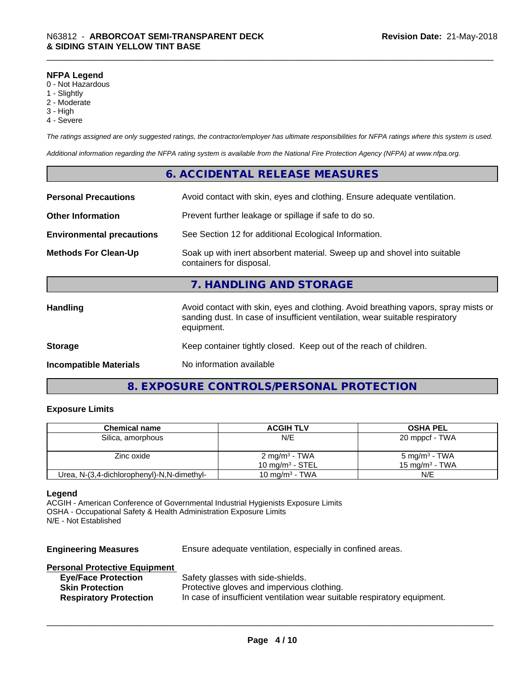#### **NFPA Legend**

- 0 Not Hazardous
- 1 Slightly
- 2 Moderate
- 3 High
- 4 Severe

*The ratings assigned are only suggested ratings, the contractor/employer has ultimate responsibilities for NFPA ratings where this system is used.*

*Additional information regarding the NFPA rating system is available from the National Fire Protection Agency (NFPA) at www.nfpa.org.*

### **6. ACCIDENTAL RELEASE MEASURES**

| <b>Personal Precautions</b>      | Avoid contact with skin, eyes and clothing. Ensure adequate ventilation.                                                                                                         |
|----------------------------------|----------------------------------------------------------------------------------------------------------------------------------------------------------------------------------|
| <b>Other Information</b>         | Prevent further leakage or spillage if safe to do so.                                                                                                                            |
| <b>Environmental precautions</b> | See Section 12 for additional Ecological Information.                                                                                                                            |
| <b>Methods For Clean-Up</b>      | Soak up with inert absorbent material. Sweep up and shovel into suitable<br>containers for disposal.                                                                             |
|                                  | 7. HANDLING AND STORAGE                                                                                                                                                          |
| <b>Handling</b>                  | Avoid contact with skin, eyes and clothing. Avoid breathing vapors, spray mists or<br>sanding dust. In case of insufficient ventilation, wear suitable respiratory<br>equipment. |
| <b>Storage</b>                   | Keep container tightly closed. Keep out of the reach of children.                                                                                                                |
| <b>Incompatible Materials</b>    | No information available                                                                                                                                                         |

# **8. EXPOSURE CONTROLS/PERSONAL PROTECTION**

#### **Exposure Limits**

| <b>Chemical name</b>                       | <b>ACGIH TLV</b>          | <b>OSHA PEL</b>           |  |
|--------------------------------------------|---------------------------|---------------------------|--|
| Silica, amorphous                          | N/E                       | 20 mppcf - TWA            |  |
|                                            |                           |                           |  |
| Zinc oxide                                 | 2 mg/m <sup>3</sup> - TWA | 5 mg/m <sup>3</sup> - TWA |  |
|                                            | 10 mg/m $3$ - STEL        | 15 mg/m $3$ - TWA         |  |
| Urea, N-(3,4-dichlorophenyl)-N,N-dimethyl- | 10 mg/m $3$ - TWA         | N/E                       |  |

#### **Legend**

ACGIH - American Conference of Governmental Industrial Hygienists Exposure Limits OSHA - Occupational Safety & Health Administration Exposure Limits N/E - Not Established

**Engineering Measures** Ensure adequate ventilation, especially in confined areas.

### **Personal Protective Equipment**

| <b>Eye/Face Protection</b>    | Safety glasses with side-shields.                                        |
|-------------------------------|--------------------------------------------------------------------------|
| <b>Skin Protection</b>        | Protective gloves and impervious clothing.                               |
| <b>Respiratory Protection</b> | In case of insufficient ventilation wear suitable respiratory equipment. |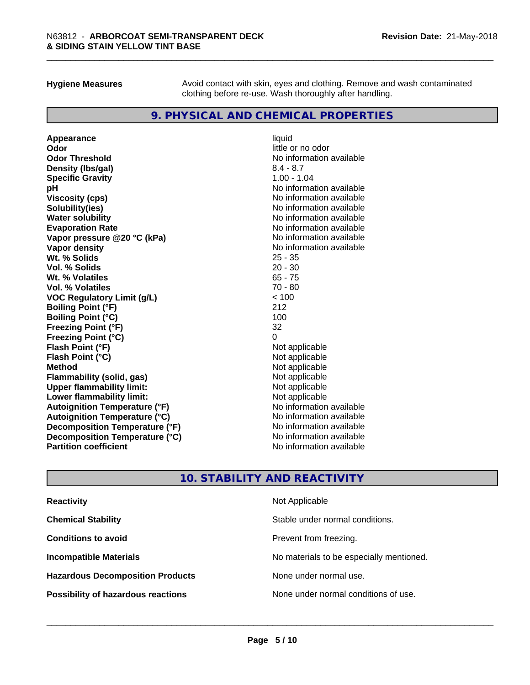**Hygiene Measures** Avoid contact with skin, eyes and clothing. Remove and wash contaminated clothing before re-use. Wash thoroughly after handling.

## **9. PHYSICAL AND CHEMICAL PROPERTIES**

**Appearance** liquid **Odor** little or no odor **Odor Threshold**<br> **Density (Ibs/aal)**<br> **Density (Ibs/aal)**<br> **No information available**<br>  $8.4 - 8.7$ **Density (lbs/gal)** 8.4 - 8.7<br> **Specific Gravity** 8.4 - 8.7 **Specific Gravity pH** No information available **Viscosity (cps)** No information available **Solubility(ies)** No information available **Water solubility Mater Solubility**<br> **Evaporation Rate** Mate No information available **Vapor pressure @20 °C (kPa)** No information available **Vapor density Vapor density No information available Wt. % Solids** 25 - 35 **Vol. % Solids** 20 - 30 **Wt. % Volatiles** 65 - 75 **Vol. % Volatiles** 70 - 80 **VOC Regulatory Limit (g/L)** < 100 **Boiling Point (°F) Boiling Point (°C)** 100 **Freezing Point (°F)** 32 **Freezing Point (°C)** 0 **Flash Point (°F)**<br> **Flash Point (°C)**<br> **Flash Point (°C)**<br> **C Flash Point (°C) Method** Not applicable **Flammability (solid, gas)** Not applicable Not applicable<br>
Upper flammability limit: Not applicable **Upper flammability limit:**<br> **Lower flammability limit:**<br>
Not applicable<br>
Not applicable **Lower flammability limit: Autoignition Temperature (°F)** No information available **Autoignition Temperature (°C)** No information available **Decomposition Temperature (°F)** No information available **Decomposition Temperature (°C)** No information available<br> **Partition coefficient Partition available** 

**Evaporation Rate** No information available **No information available** 

# **10. STABILITY AND REACTIVITY**

| <b>Reactivity</b>                         | Not Applicable                           |
|-------------------------------------------|------------------------------------------|
| <b>Chemical Stability</b>                 | Stable under normal conditions.          |
| <b>Conditions to avoid</b>                | Prevent from freezing.                   |
| <b>Incompatible Materials</b>             | No materials to be especially mentioned. |
| <b>Hazardous Decomposition Products</b>   | None under normal use.                   |
| <b>Possibility of hazardous reactions</b> | None under normal conditions of use.     |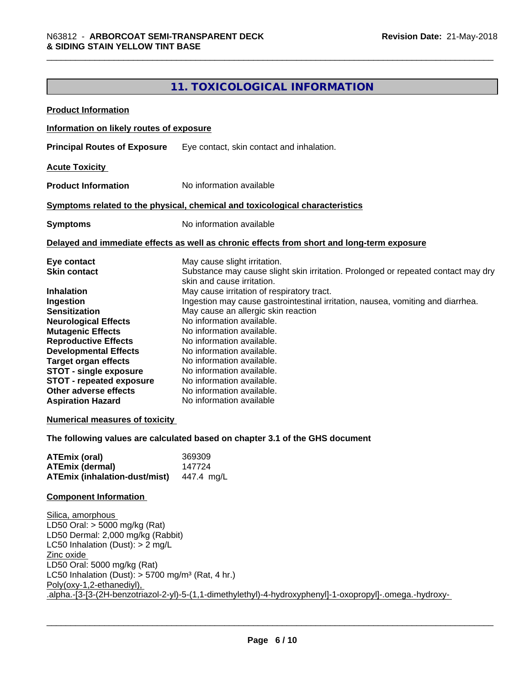# **11. TOXICOLOGICAL INFORMATION**

| <b>Product Information</b>                                                                                                                                                                                                                                                                                                                                                                                              |                                                                                                                                                                                                                                                                                                                                                                                                                                                                                                                                                                                                                                                                             |
|-------------------------------------------------------------------------------------------------------------------------------------------------------------------------------------------------------------------------------------------------------------------------------------------------------------------------------------------------------------------------------------------------------------------------|-----------------------------------------------------------------------------------------------------------------------------------------------------------------------------------------------------------------------------------------------------------------------------------------------------------------------------------------------------------------------------------------------------------------------------------------------------------------------------------------------------------------------------------------------------------------------------------------------------------------------------------------------------------------------------|
| Information on likely routes of exposure                                                                                                                                                                                                                                                                                                                                                                                |                                                                                                                                                                                                                                                                                                                                                                                                                                                                                                                                                                                                                                                                             |
| <b>Principal Routes of Exposure</b>                                                                                                                                                                                                                                                                                                                                                                                     | Eye contact, skin contact and inhalation.                                                                                                                                                                                                                                                                                                                                                                                                                                                                                                                                                                                                                                   |
| <b>Acute Toxicity</b>                                                                                                                                                                                                                                                                                                                                                                                                   |                                                                                                                                                                                                                                                                                                                                                                                                                                                                                                                                                                                                                                                                             |
| <b>Product Information</b>                                                                                                                                                                                                                                                                                                                                                                                              | No information available                                                                                                                                                                                                                                                                                                                                                                                                                                                                                                                                                                                                                                                    |
|                                                                                                                                                                                                                                                                                                                                                                                                                         | Symptoms related to the physical, chemical and toxicological characteristics                                                                                                                                                                                                                                                                                                                                                                                                                                                                                                                                                                                                |
| <b>Symptoms</b>                                                                                                                                                                                                                                                                                                                                                                                                         | No information available                                                                                                                                                                                                                                                                                                                                                                                                                                                                                                                                                                                                                                                    |
|                                                                                                                                                                                                                                                                                                                                                                                                                         | Delayed and immediate effects as well as chronic effects from short and long-term exposure                                                                                                                                                                                                                                                                                                                                                                                                                                                                                                                                                                                  |
| Eye contact<br><b>Skin contact</b><br><b>Inhalation</b><br>Ingestion<br><b>Sensitization</b><br><b>Neurological Effects</b><br><b>Mutagenic Effects</b><br><b>Reproductive Effects</b><br><b>Developmental Effects</b><br><b>Target organ effects</b><br><b>STOT - single exposure</b><br><b>STOT - repeated exposure</b><br>Other adverse effects<br><b>Aspiration Hazard</b><br><b>Numerical measures of toxicity</b> | May cause slight irritation.<br>Substance may cause slight skin irritation. Prolonged or repeated contact may dry<br>skin and cause irritation.<br>May cause irritation of respiratory tract.<br>Ingestion may cause gastrointestinal irritation, nausea, vomiting and diarrhea.<br>May cause an allergic skin reaction<br>No information available.<br>No information available.<br>No information available.<br>No information available.<br>No information available.<br>No information available.<br>No information available.<br>No information available.<br>No information available<br>The following values are calculated based on chapter 3.1 of the GHS document |
| <b>ATEmix (oral)</b><br><b>ATEmix (dermal)</b><br><b>ATEmix (inhalation-dust/mist)</b>                                                                                                                                                                                                                                                                                                                                  | 369309<br>147724<br>447.4 mg/L                                                                                                                                                                                                                                                                                                                                                                                                                                                                                                                                                                                                                                              |
| <b>Component Information</b>                                                                                                                                                                                                                                                                                                                                                                                            |                                                                                                                                                                                                                                                                                                                                                                                                                                                                                                                                                                                                                                                                             |
| Silica, amorphous<br>LD50 Oral: $>$ 5000 mg/kg (Rat)<br>LD50 Dermal: 2,000 mg/kg (Rabbit)<br>LC50 Inhalation (Dust): $> 2$ mg/L<br>Zinc oxide<br>LD50 Oral: 5000 mg/kg (Rat)<br>LC50 Inhalation (Dust): $> 5700$ mg/m <sup>3</sup> (Rat, 4 hr.)<br>Poly(oxy-1,2-ethanediyl),                                                                                                                                            | .alpha.-[3-[3-(2H-benzotriazol-2-yl)-5-(1,1-dimethylethyl)-4-hydroxyphenyl]-1-oxopropyl]-.omega.-hydroxy-                                                                                                                                                                                                                                                                                                                                                                                                                                                                                                                                                                   |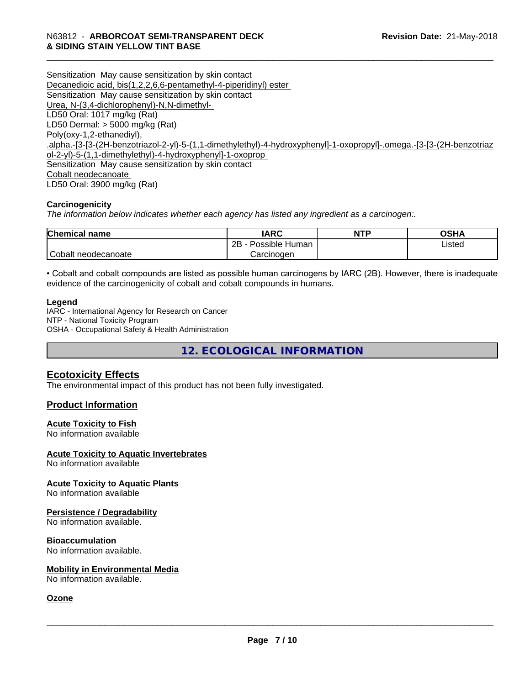Sensitization May cause sensitization by skin contact Decanedioic acid, bis(1,2,2,6,6-pentamethyl-4-piperidinyl) ester Sensitization May cause sensitization by skin contact Urea, N-(3,4-dichlorophenyl)-N,N-dimethyl- LD50 Oral: 1017 mg/kg (Rat) LD50 Dermal: > 5000 mg/kg (Rat) Poly(oxy-1,2-ethanediyl), .alpha.-[3-[3-(2H-benzotriazol-2-yl)-5-(1,1-dimethylethyl)-4-hydroxyphenyl]-1-oxopropyl]-.omega.-[3-[3-(2H-benzotriaz ol-2-yl)-5-(1,1-dimethylethyl)-4-hydroxyphenyl]-1-oxoprop Sensitization May cause sensitization by skin contact Cobalt neodecanoate LD50 Oral: 3900 mg/kg (Rat)

#### **Carcinogenicity**

*The information below indicateswhether each agency has listed any ingredient as a carcinogen:.*

| <b>Chemical</b><br>name | <b>IARC</b>               | <b>NTP</b> | <b>OSHA</b> |
|-------------------------|---------------------------|------------|-------------|
|                         | .<br>2B<br>Possible Human |            | Listed      |
| Cobalt neodecanoate     | Carcinoɑen                |            |             |

• Cobalt and cobalt compounds are listed as possible human carcinogens by IARC (2B). However, there is inadequate evidence of the carcinogenicity of cobalt and cobalt compounds in humans.

#### **Legend**

IARC - International Agency for Research on Cancer NTP - National Toxicity Program OSHA - Occupational Safety & Health Administration

**12. ECOLOGICAL INFORMATION**

#### **Ecotoxicity Effects**

The environmental impact of this product has not been fully investigated.

#### **Product Information**

#### **Acute Toxicity to Fish**

No information available

#### **Acute Toxicity to Aquatic Invertebrates**

No information available

#### **Acute Toxicity to Aquatic Plants** No information available

# **Persistence / Degradability**

No information available.

#### **Bioaccumulation**

No information available.

#### **Mobility in Environmental Media**

No information available.

#### **Ozone**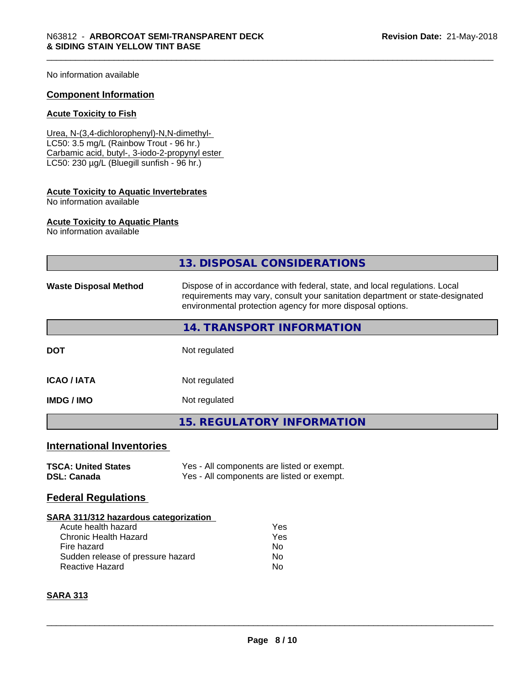No information available

#### **Component Information**

#### **Acute Toxicity to Fish**

Urea, N-(3,4-dichlorophenyl)-N,N-dimethyl- LC50: 3.5 mg/L (Rainbow Trout - 96 hr.) Carbamic acid, butyl-, 3-iodo-2-propynyl ester LC50: 230 µg/L (Bluegill sunfish - 96 hr.)

# **Acute Toxicity to Aquatic Invertebrates**

No information available

#### **Acute Toxicity to Aquatic Plants**

No information available

|                                                                                                                                                                            | 13. DISPOSAL CONSIDERATIONS                                                                                                                                                                                               |  |  |
|----------------------------------------------------------------------------------------------------------------------------------------------------------------------------|---------------------------------------------------------------------------------------------------------------------------------------------------------------------------------------------------------------------------|--|--|
| <b>Waste Disposal Method</b>                                                                                                                                               | Dispose of in accordance with federal, state, and local regulations. Local<br>requirements may vary, consult your sanitation department or state-designated<br>environmental protection agency for more disposal options. |  |  |
|                                                                                                                                                                            | 14. TRANSPORT INFORMATION                                                                                                                                                                                                 |  |  |
| <b>DOT</b>                                                                                                                                                                 | Not regulated                                                                                                                                                                                                             |  |  |
| <b>ICAO / IATA</b>                                                                                                                                                         | Not regulated                                                                                                                                                                                                             |  |  |
| <b>IMDG/IMO</b>                                                                                                                                                            | Not regulated                                                                                                                                                                                                             |  |  |
|                                                                                                                                                                            | <b>15. REGULATORY INFORMATION</b>                                                                                                                                                                                         |  |  |
| <b>International Inventories</b>                                                                                                                                           |                                                                                                                                                                                                                           |  |  |
| <b>TSCA: United States</b><br><b>DSL: Canada</b>                                                                                                                           | Yes - All components are listed or exempt.<br>Yes - All components are listed or exempt.                                                                                                                                  |  |  |
| <b>Federal Regulations</b>                                                                                                                                                 |                                                                                                                                                                                                                           |  |  |
| SARA 311/312 hazardous categorization<br>Acute health hazard<br><b>Chronic Health Hazard</b><br>Fire hazard<br>Sudden release of pressure hazard<br><b>Reactive Hazard</b> | Yes<br>Yes<br>No.<br>No<br>No                                                                                                                                                                                             |  |  |

#### **SARA 313**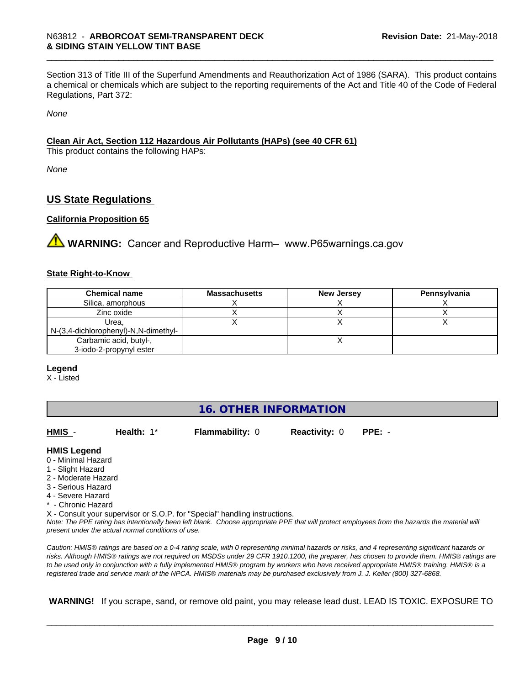Section 313 of Title III of the Superfund Amendments and Reauthorization Act of 1986 (SARA). This product contains a chemical or chemicals which are subject to the reporting requirements of the Act and Title 40 of the Code of Federal Regulations, Part 372:

*None*

#### **Clean Air Act,Section 112 Hazardous Air Pollutants (HAPs) (see 40 CFR 61)**

This product contains the following HAPs:

*None*

### **US State Regulations**

#### **California Proposition 65**

**AVIMARNING:** Cancer and Reproductive Harm– www.P65warnings.ca.gov

#### **State Right-to-Know**

| <b>Chemical name</b>                 | <b>Massachusetts</b> | <b>New Jersey</b> | Pennsylvania |
|--------------------------------------|----------------------|-------------------|--------------|
| Silica, amorphous                    |                      |                   |              |
| Zinc oxide                           |                      |                   |              |
| Urea.                                |                      |                   |              |
| N-(3,4-dichlorophenyl)-N,N-dimethyl- |                      |                   |              |
| Carbamic acid, butyl-,               |                      |                   |              |
| 3-iodo-2-propynyl ester              |                      |                   |              |

#### **Legend**

X - Listed

| <b>16. OTHER INFORMATION</b> |  |
|------------------------------|--|
|------------------------------|--|

| HMIS -              | Health: $1^*$                                      | <b>Flammability: 0</b>                                                     | <b>Reactivity: 0</b> | $PPE: -$                                                                                                                                      |
|---------------------|----------------------------------------------------|----------------------------------------------------------------------------|----------------------|-----------------------------------------------------------------------------------------------------------------------------------------------|
| <b>HMIS Legend</b>  |                                                    |                                                                            |                      |                                                                                                                                               |
| 0 - Minimal Hazard  |                                                    |                                                                            |                      |                                                                                                                                               |
| 1 - Slight Hazard   |                                                    |                                                                            |                      |                                                                                                                                               |
| 2 - Moderate Hazard |                                                    |                                                                            |                      |                                                                                                                                               |
| 3 - Serious Hazard  |                                                    |                                                                            |                      |                                                                                                                                               |
| 4 - Severe Hazard   |                                                    |                                                                            |                      |                                                                                                                                               |
| * - Chronic Hazard  |                                                    |                                                                            |                      |                                                                                                                                               |
|                     |                                                    | X - Consult your supervisor or S.O.P. for "Special" handling instructions. |                      |                                                                                                                                               |
|                     | present under the actual normal conditions of use. |                                                                            |                      | Note: The PPE rating has intentionally been left blank. Choose appropriate PPE that will protect employees from the hazards the material will |
|                     |                                                    |                                                                            |                      |                                                                                                                                               |

*Caution: HMISÒ ratings are based on a 0-4 rating scale, with 0 representing minimal hazards or risks, and 4 representing significant hazards or risks. Although HMISÒ ratings are not required on MSDSs under 29 CFR 1910.1200, the preparer, has chosen to provide them. HMISÒ ratings are to be used only in conjunction with a fully implemented HMISÒ program by workers who have received appropriate HMISÒ training. HMISÒ is a registered trade and service mark of the NPCA. HMISÒ materials may be purchased exclusively from J. J. Keller (800) 327-6868.*

 **WARNING!** If you scrape, sand, or remove old paint, you may release lead dust. LEAD IS TOXIC. EXPOSURE TO